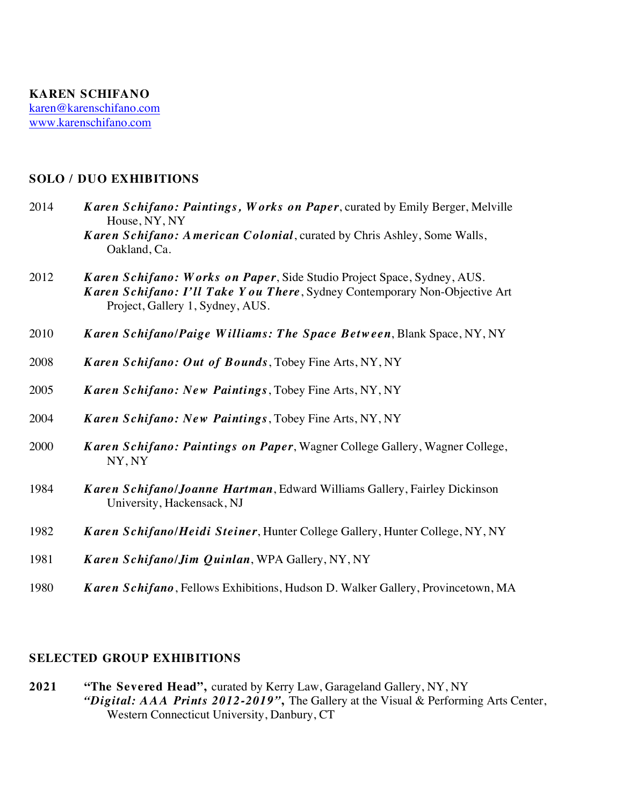## **SOLO / DUO EXHIBITIONS**

- 2014 *Karen Schifano: Paintings, Works on Paper*, curated by Emily Berger, Melville House, NY, NY *Karen Schifano: American Colonial*, curated by Chris Ashley, Some Walls, Oakland, Ca.
- 2012 *Karen Schifano: Works on Paper*, Side Studio Project Space, Sydney, AUS. *Karen Schifano: I'll Take Y ou There*, Sydney Contemporary Non-Objective Art Project, Gallery 1, Sydney, AUS.
- 2010 *Karen Schifano/Paige Williams: The Space Between*, Blank Space, NY, NY
- 2008 *Karen Schifano: Out of Bounds*, Tobey Fine Arts, NY, NY
- 2005 *Karen Schifano: New Paintings*, Tobey Fine Arts, NY, NY
- 2004 *Karen Schifano: New Paintings*, Tobey Fine Arts, NY, NY
- 2000 *Karen Schifano: Paintings on Paper*, Wagner College Gallery, Wagner College, NY, NY
- 1984 *K aren Schifano/Joanne Hartman*, Edward Williams Gallery, Fairley Dickinson University, Hackensack, NJ
- 1982 *Karen Schifano/Heidi Steiner*, Hunter College Gallery, Hunter College, NY, NY
- 1981 *K aren Schifano/Jim Quinlan*, WPA Gallery, NY, NY
- 1980 *Karen Schifano*, Fellows Exhibitions, Hudson D. Walker Gallery, Provincetown, MA

## **SELECTED GROUP EXHIBITIONS**

**2021 "The Severed Head",** curated by Kerry Law, Garageland Gallery, NY, NY *"Digital: AAA Prints 2012-2019"***,** The Gallery at the Visual & Performing Arts Center, Western Connecticut University, Danbury, CT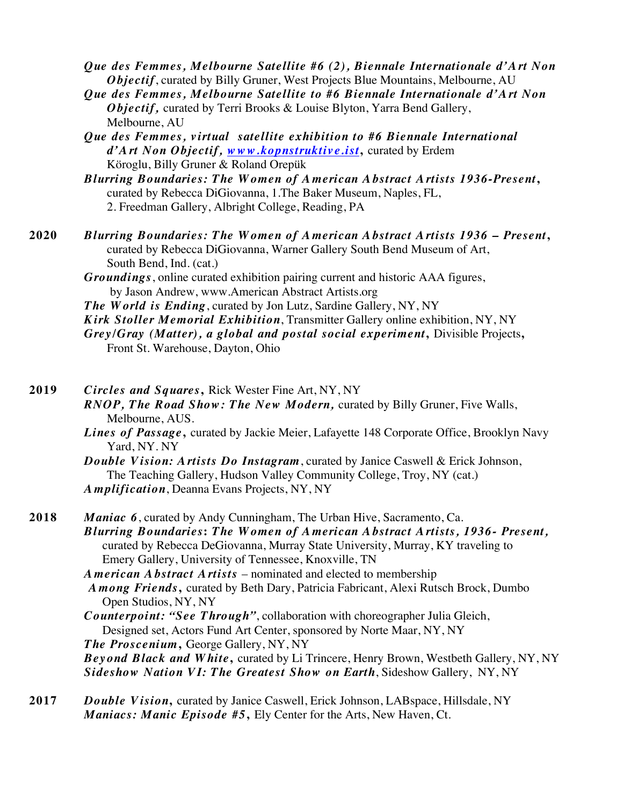*Que des Femmes, Melbourne Satellite #6 (2), Biennale Internationale d'Art Non Objectif*, curated by Billy Gruner, West Projects Blue Mountains, Melbourne, AU

*Que des Femmes, Melbourne Satellite to #6 Biennale Internationale d'A rt Non Objectif,* curated by Terri Brooks & Louise Blyton, Yarra Bend Gallery, Melbourne, AU

*Que des Femmes, v irtual satellite exhibition to #6 Biennale International d'Art Non Objectif, www.kopnstruktive.ist***,** curated by Erdem Köroglu, Billy Gruner & Roland Orepük

*Blurring Boundaries: The Women of American Abstract Artists 1936-Present***,** curated by Rebecca DiGiovanna, 1.The Baker Museum, Naples, FL, 2. Freedman Gallery, Albright College, Reading, PA

**2020** *Blurring Boundaries: The Women of American Abstract Artists 1936 – Present***,** curated by Rebecca DiGiovanna, Warner Gallery South Bend Museum of Art, South Bend, Ind. (cat.)

> *Groundings*, online curated exhibition pairing current and historic AAA figures, by Jason Andrew, www.American Abstract Artists.org

*The World is Ending*, curated by Jon Lutz, Sardine Gallery, NY, NY *Kirk Stoller Memorial Exhibition*, Transmitter Gallery online exhibition, NY, NY

*Grey/Gray (Matter), a global and postal social experiment***,** Divisible Projects**,**  Front St. Warehouse, Dayton, Ohio

**2019** *Circles and Squares***,** Rick Wester Fine Art, NY, NY *RNOP, The Road Show: The New Modern,* curated by Billy Gruner, Five Walls, Melbourne, AUS. *Lines of Passage***,** curated by Jackie Meier, Lafayette 148 Corporate Office, Brooklyn Navy Yard, NY. NY

> *Double Vision: Artists Do Instagram*, curated by Janice Caswell & Erick Johnson, The Teaching Gallery, Hudson Valley Community College, Troy, NY (cat.) *Amplification*, Deanna Evans Projects, NY, NY

**2018** *Maniac 6*, curated by Andy Cunningham, The Urban Hive, Sacramento, Ca. *Blurring Boundaries***:** *The Women of American Abstract Artists, 1936- Present,*  curated by Rebecca DeGiovanna, Murray State University, Murray, KY traveling to Emery Gallery, University of Tennessee, Knoxville, TN

*American Abstract Artists* – nominated and elected to membership *A mong Friends***,** curated by Beth Dary, Patricia Fabricant, Alexi Rutsch Brock, Dumbo Open Studios, NY, NY

*Counterpoint: "See Through"*, collaboration with choreographer Julia Gleich, Designed set, Actors Fund Art Center, sponsored by Norte Maar, NY, NY

*The Proscenium***,** George Gallery, NY, NY *Beyond Black and White***,** curated by Li Trincere, Henry Brown, Westbeth Gallery, NY, NY

*Sideshow Nation VI: The Greatest Show on Earth*, Sideshow Gallery, NY, NY

2017 *Double Vision*, curated by Janice Caswell, Erick Johnson, LABspace, Hillsdale, NY *Maniacs: Manic Episode #5***,** Ely Center for the Arts, New Haven, Ct.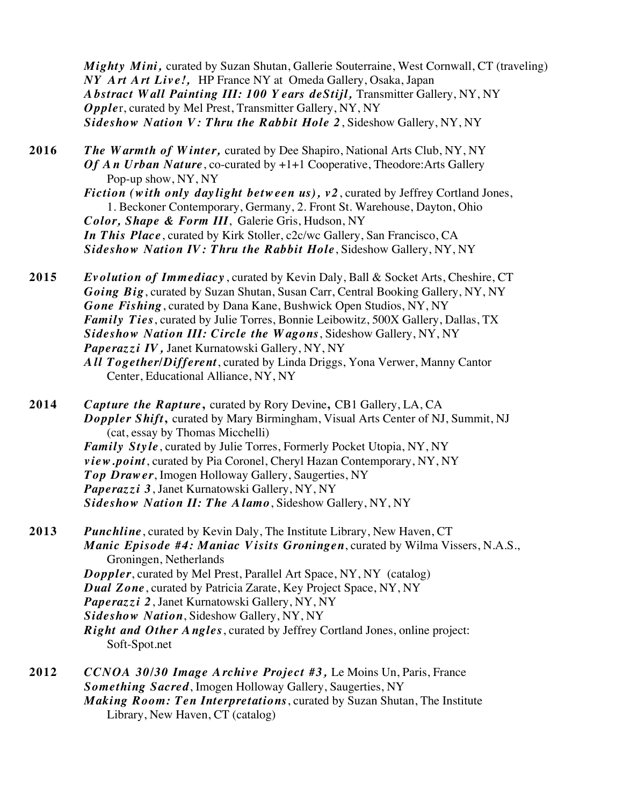*Mighty Mini,* curated by Suzan Shutan, Gallerie Souterraine, West Cornwall, CT (traveling) *NY Art Art Live!,* HP France NY at Omeda Gallery, Osaka, Japan *Abstract Wall Painting III: 100 Y ears deStijl,* Transmitter Gallery, NY, NY *Opple*r, curated by Mel Prest, Transmitter Gallery, NY, NY *Sideshow Nation V: Thru the Rabbit Hole 2*, Sideshow Gallery, NY, NY

**2016** *The Warmth of Winter,* curated by Dee Shapiro, National Arts Club, NY, NY *Of An Urban Nature*, co-curated by +1+1 Cooperative, Theodore: Arts Gallery Pop-up show, NY, NY *Fiction (w ith only daylight between us), v2*, curated by Jeffrey Cortland Jones, 1. Beckoner Contemporary, Germany, 2. Front St. Warehouse, Dayton, Ohio *Color, Shape & Form III*, Galerie Gris, Hudson, NY *In This Place*, curated by Kirk Stoller, c2c/wc Gallery, San Francisco, CA *Sideshow Nation IV: Thru the Rabbit Hole*, Sideshow Gallery, NY, NY

**2015** *Evolution of Immediacy* , curated by Kevin Daly, Ball & Socket Arts, Cheshire, CT *Going Big*, curated by Suzan Shutan, Susan Carr, Central Booking Gallery, NY, NY *Gone Fishing*, curated by Dana Kane, Bushwick Open Studios, NY, NY *Family Ties*, curated by Julie Torres, Bonnie Leibowitz, 500X Gallery, Dallas, TX *Sideshow Nation III: Circle the Wagons*, Sideshow Gallery, NY, NY *Paperazzi IV,* Janet Kurnatowski Gallery, NY, NY *All Together/Different*, curated by Linda Driggs, Yona Verwer, Manny Cantor Center, Educational Alliance, NY, NY

2014 *Capture the Rapture*, curated by Rory Devine, CB1 Gallery, LA, CA *Doppler Shift***,** curated by Mary Birmingham, Visual Arts Center of NJ, Summit, NJ (cat, essay by Thomas Micchelli) *Family Sty le*, curated by Julie Torres, Formerly Pocket Utopia, NY, NY *view.point*, curated by Pia Coronel, Cheryl Hazan Contemporary, NY, NY *Top Drawer*, Imogen Holloway Gallery, Saugerties, NY *Paperazzi 3*, Janet Kurnatowski Gallery, NY, NY *Sideshow Nation II: The Alamo*, Sideshow Gallery, NY, NY

**2013** *Punchline*, curated by Kevin Daly, The Institute Library, New Haven, CT *Manic Episode #4: Maniac Visits Groningen*, curated by Wilma Vissers, N.A.S., Groningen, Netherlands *Doppler*, curated by Mel Prest, Parallel Art Space, NY, NY (catalog) *Dual Zone*, curated by Patricia Zarate, Key Project Space, NY, NY *Paperazzi 2*, Janet Kurnatowski Gallery, NY, NY *Sideshow Nation*, Sideshow Gallery, NY, NY *Right and Other Angles*, curated by Jeffrey Cortland Jones, online project: Soft-Spot.net

**2012** *CCNOA 30/30 Image Archive Project #3,* Le Moins Un, Paris, France *Something Sacred*, Imogen Holloway Gallery, Saugerties, NY *Making Room: Ten Interpretations*, curated by Suzan Shutan, The Institute Library, New Haven, CT (catalog)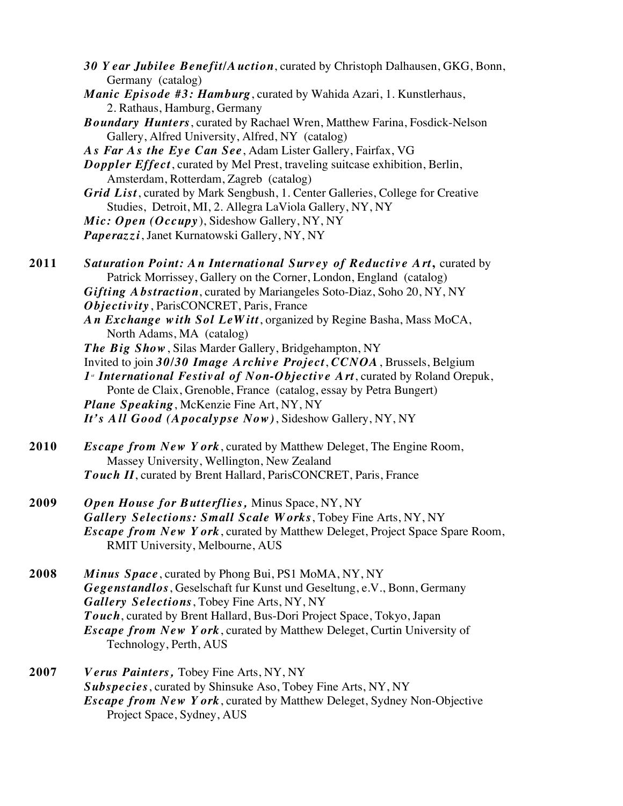- *30 Y ear Jubilee Benefit/A uction*, curated by Christoph Dalhausen, GKG, Bonn, Germany (catalog)
- *Manic Episode #3: Hamburg*, curated by Wahida Azari, 1. Kunstlerhaus, 2. Rathaus, Hamburg, Germany
- *Boundary Hunters*, curated by Rachael Wren, Matthew Farina, Fosdick-Nelson Gallery, Alfred University, Alfred, NY (catalog)
- *A s Far A s the Ey e Can See*, Adam Lister Gallery, Fairfax, VG
- *Doppler Effect*, curated by Mel Prest, traveling suitcase exhibition, Berlin, Amsterdam, Rotterdam, Zagreb (catalog)
- *Grid List*, curated by Mark Sengbush, 1. Center Galleries, College for Creative Studies, Detroit, MI, 2. Allegra LaViola Gallery, NY, NY
- *Mic: Open (Occupy* ), Sideshow Gallery, NY, NY
- *Paperazzi*, Janet Kurnatowski Gallery, NY, NY
- **2011** *Saturation Point: An International Survey of Reductive Art***,** curated by Patrick Morrissey, Gallery on the Corner, London, England (catalog) *Gifting Abstraction*, curated by Mariangeles Soto-Diaz, Soho 20, NY, NY *Objectivity* , ParisCONCRET, Paris, France *An Exchange with Sol LeWitt*, organized by Regine Basha, Mass MoCA, North Adams, MA (catalog) *The Big Show*, Silas Marder Gallery, Bridgehampton, NY
	- Invited to join *30/30 Image Archive Project*, *CCNOA*, Brussels, Belgium 1<sup>*s</sup> International Festival of Non-Objective Art*, curated by Roland Orepuk,</sup> Ponte de Claix, Grenoble, France (catalog, essay by Petra Bungert) *Plane Speaking*, McKenzie Fine Art, NY, NY *It's All Good (Apocalypse Now)*, Sideshow Gallery, NY, NY
- **2010** *Escape from New Y ork*, curated by Matthew Deleget, The Engine Room, Massey University, Wellington, New Zealand *Touch II*, curated by Brent Hallard, ParisCONCRET, Paris, France
- **2009** *Open House for Butterflies,* Minus Space, NY, NY *Gallery Selections: Small Scale Works*, Tobey Fine Arts, NY, NY *Escape from New Y ork*, curated by Matthew Deleget, Project Space Spare Room, RMIT University, Melbourne, AUS
- **2008** *Minus Space*, curated by Phong Bui, PS1 MoMA, NY, NY *Gegenstandlos*, Geselschaft fur Kunst und Geseltung, e.V., Bonn, Germany *Gallery Selections*, Tobey Fine Arts, NY, NY *Touch*, curated by Brent Hallard, Bus-Dori Project Space, Tokyo, Japan *Escape from New Y ork*, curated by Matthew Deleget, Curtin University of Technology, Perth, AUS
- **2007** *Verus Painters,* Tobey Fine Arts, NY, NY *Subspecies*, curated by Shinsuke Aso, Tobey Fine Arts, NY, NY *Escape from New Y ork*, curated by Matthew Deleget, Sydney Non-Objective Project Space, Sydney, AUS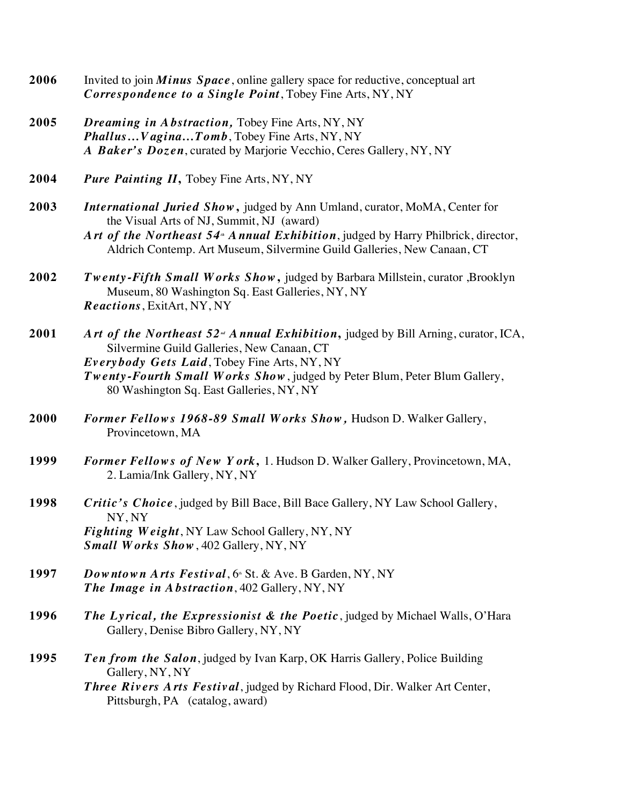- **2006** Invited to join *Minus Space*, online gallery space for reductive, conceptual art *Correspondence to a Single Point*, Tobey Fine Arts, NY, NY
- **2005** *Dreaming in Abstraction,* Tobey Fine Arts, NY, NY *Phallus…Vagina…Tomb*, Tobey Fine Arts, NY, NY *A Baker's Dozen*, curated by Marjorie Vecchio, Ceres Gallery, NY, NY
- 2004 Pure Painting II, Tobey Fine Arts, NY, NY
- **2003** *International Juried Show***,** judged by Ann Umland, curator, MoMA, Center for the Visual Arts of NJ, Summit, NJ (award)
	- Art of the Northeast 54<sup>*M*</sup> Annual Exhibition, judged by Harry Philbrick, director, Aldrich Contemp. Art Museum, Silvermine Guild Galleries, New Canaan, CT
- **2002** *Twenty -Fifth Small W orks Show***,** judged by Barbara Millstein, curator ,Brooklyn Museum, 80 Washington Sq. East Galleries, NY, NY *Reactions*, ExitArt, NY, NY
- **2001** Art of the Northeast 52<sup>*m*</sup> Annual Exhibition, judged by Bill Arning, curator, ICA, Silvermine Guild Galleries, New Canaan, CT *Everybody Gets Laid*, Tobey Fine Arts, NY, NY *Twenty-Fourth Small Works Show*, judged by Peter Blum, Peter Blum Gallery, 80 Washington Sq. East Galleries, NY, NY
- **2000** *Former Fellow s 1968-89 Small Works Show,* Hudson D. Walker Gallery, Provincetown, MA
- **1999** *Former Fellow s of New Y ork***,** 1. Hudson D. Walker Gallery, Provincetown, MA, 2. Lamia/Ink Gallery, NY, NY
- **1998** *Critic's Choice*, judged by Bill Bace, Bill Bace Gallery, NY Law School Gallery, NY, NY *Fighting W eight*, NY Law School Gallery, NY, NY *Small Works Show*, 402 Gallery, NY, NY
- **1997** *Downtown Arts Festival*, 6<sup>th</sup> St. & Ave. B Garden, NY, NY *The Image in Abstraction*, 402 Gallery, NY, NY
- **1996** *The Lyrical, the Expressionist & the Poetic*, judged by Michael Walls, O'Hara Gallery, Denise Bibro Gallery, NY, NY
- **1995** *Ten from the Salon*, judged by Ivan Karp, OK Harris Gallery, Police Building Gallery, NY, NY
	- *Three Riv ers A rts Festiv al*, judged by Richard Flood, Dir. Walker Art Center, Pittsburgh, PA (catalog, award)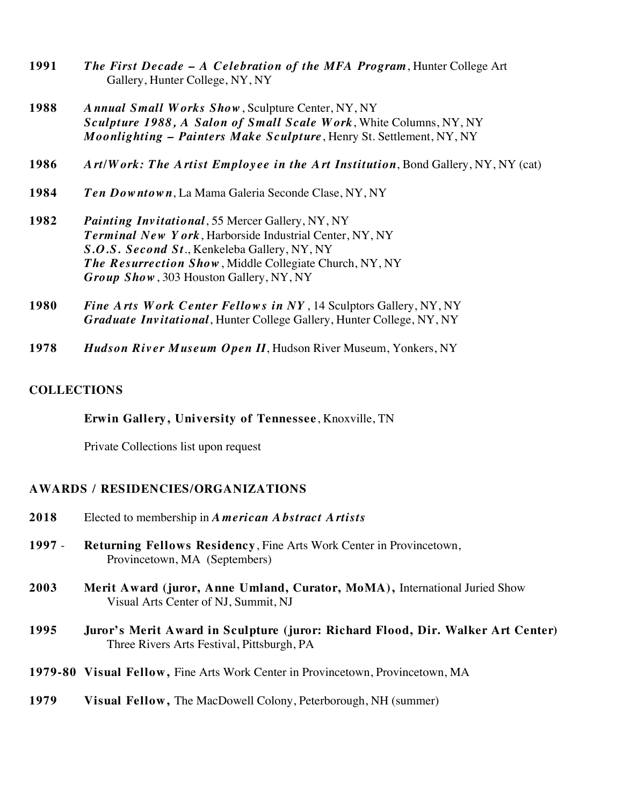- **1991** *The First Decade – A Celebration of the MFA Program*, Hunter College Art Gallery, Hunter College, NY, NY
- **1988** *Annual Small Works Show*, Sculpture Center, NY, NY *Sculpture 1988, A Salon of Small Scale Work*, White Columns, NY, NY *Moonlighting – Painters Make Sculpture*, Henry St. Settlement, NY, NY
- **1986** *Art/Work: The Artist Employee in the Art Institution*, Bond Gallery, NY, NY (cat)
- **1984** *Ten Downtown*, La Mama Galeria Seconde Clase, NY, NY
- **1982** *Painting Invitational*, 55 Mercer Gallery, NY, NY *Terminal New Y ork*, Harborside Industrial Center, NY, NY *S.O.S. Second St*., Kenkeleba Gallery, NY, NY *The Resurrection Show*, Middle Collegiate Church, NY, NY *Group Show*, 303 Houston Gallery, NY, NY
- **1980** *Fine A rts W ork Center Fellow s in NY* , 14 Sculptors Gallery, NY, NY *Graduate Invitational*, Hunter College Gallery, Hunter College, NY, NY
- **1978** *Hudson River Museum Open II*, Hudson River Museum, Yonkers, NY

## **COLLECTIONS**

**Erwin Gallery, University of Tennessee**, Knoxville, TN

Private Collections list upon request

## **AWARDS / RESIDENCIES/ORGANIZATIONS**

- **2018** Elected to membership in *American Abstract Artists*
- **1997 Returning Fellows Residency**, Fine Arts Work Center in Provincetown, Provincetown, MA (Septembers)
- **2003 Merit Award (juror, Anne Umland, Curator, MoMA),** International Juried Show Visual Arts Center of NJ, Summit, NJ
- **1995 Juror's Merit Award in Sculpture (juror: Richard Flood, Dir. Walker Art Center)** Three Rivers Arts Festival, Pittsburgh, PA
- **1979-80 Visual Fellow,** Fine Arts Work Center in Provincetown, Provincetown, MA
- **1979 Visual Fellow,** The MacDowell Colony, Peterborough, NH (summer)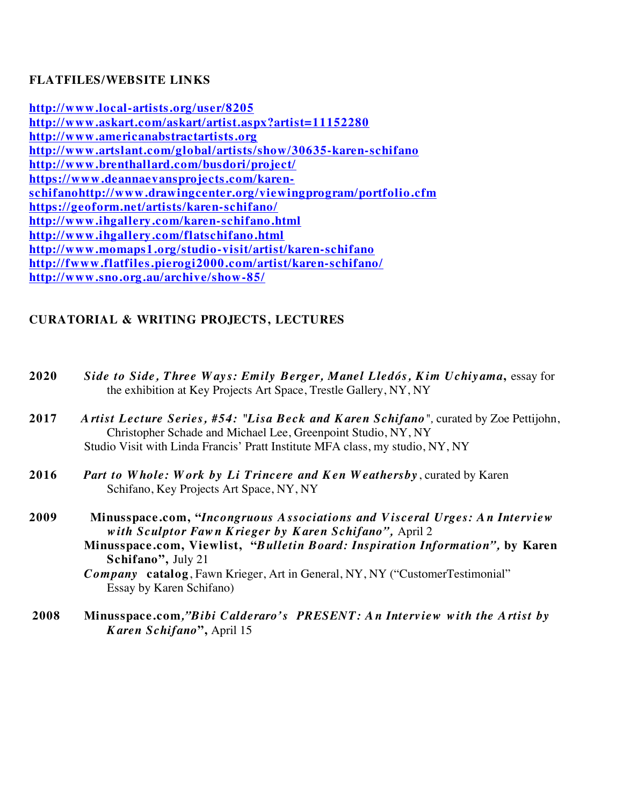## **FLATFILES/WEBSITE LINKS**

**http://www.local-artists.org/user/8205 http://www.askart.com/askart/artist.aspx?artist=11152280 http://www.americanabstractartists.org http://www.artslant.com/global/artists/show/30635-karen-schifano http://www.brenthallard.com/busdori/project/ https://www.deannaevansprojects.com/karenschifanohttp://www.drawingcenter.org/viewingprogram/portfolio.cfm https://geoform.net/artists/karen-schifano/ http://www.ihgallery.com/karen-schifano.html http://www.ihgallery.com/flatschifano.html http://www.momaps1.org/studio-visit/artist/karen-schifano http://fwww.flatfiles.pierogi2000.com/artist/karen-schifano/ http://www.sno.org.au/archive/show-85/**

# **CURATORIAL & WRITING PROJECTS, LECTURES**

- **2020** *Side to Side, Three Ways: Emily Berger, Manel Lledós, Kim Uchiyama***,** essay for the exhibition at Key Projects Art Space, Trestle Gallery, NY, NY
- **2017** *A rtist Lecture Series, #54: "Lisa Beck and K aren Schifano",* curated by Zoe Pettijohn, Christopher Schade and Michael Lee, Greenpoint Studio, NY, NY Studio Visit with Linda Francis' Pratt Institute MFA class, my studio, NY, NY
- **2016** *Part to Whole: Work by Li Trincere and Ken Weathersby* , curated by Karen Schifano, Key Projects Art Space, NY, NY
- **2009 Minusspace.com, "***Incongruous Associations and Visceral Urges: An Interview w ith Sculptor Faw n K rieger by K aren Schifano",* April 2 **Minusspace.com, Viewlist, "***Bulletin Board: Inspiration Information",* **by Karen Schifano",** July 21

*Company* **catalog**, Fawn Krieger, Art in General, NY, NY ("CustomerTestimonial" Essay by Karen Schifano)

**2008 Minusspace.com***,"Bibi Calderaro's PRESENT: An Interview with the Artist by Karen Schifano***",** April 15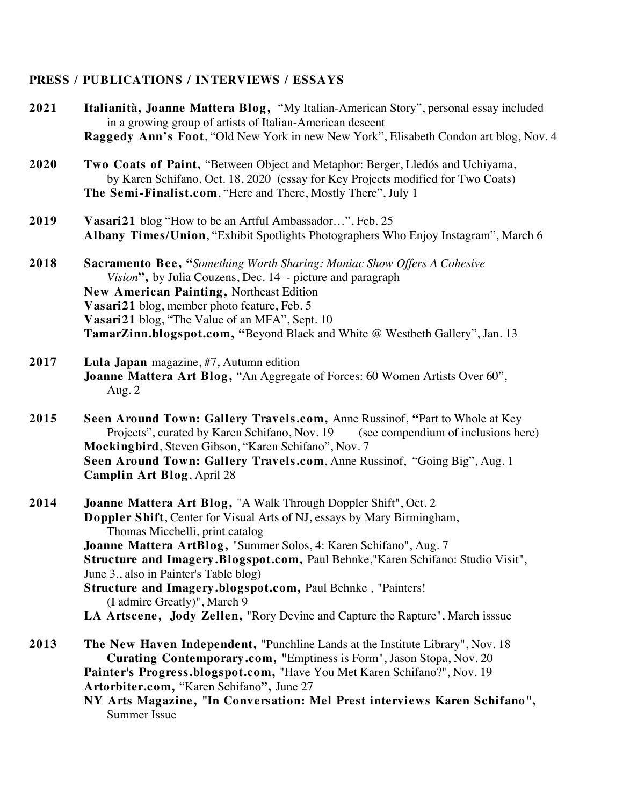# **PRESS / PUBLICATIONS / INTERVIEWS / ESSAYS**

| 2021 | Italianità, Joanne Mattera Blog, "My Italian-American Story", personal essay included<br>in a growing group of artists of Italian-American descent<br>Raggedy Ann's Foot, "Old New York in new New York", Elisabeth Condon art blog, Nov. 4                                                                                                                                                                                                                                                                                                                     |
|------|-----------------------------------------------------------------------------------------------------------------------------------------------------------------------------------------------------------------------------------------------------------------------------------------------------------------------------------------------------------------------------------------------------------------------------------------------------------------------------------------------------------------------------------------------------------------|
| 2020 | Two Coats of Paint, "Between Object and Metaphor: Berger, Lledós and Uchiyama,<br>by Karen Schifano, Oct. 18, 2020 (essay for Key Projects modified for Two Coats)<br>The Semi-Finalist.com, "Here and There, Mostly There", July 1                                                                                                                                                                                                                                                                                                                             |
| 2019 | Vasari21 blog "How to be an Artful Ambassador", Feb. 25<br>Albany Times/Union, "Exhibit Spotlights Photographers Who Enjoy Instagram", March 6                                                                                                                                                                                                                                                                                                                                                                                                                  |
| 2018 | <b>Sacramento Bee, "Something Worth Sharing: Maniac Show Offers A Cohesive</b><br>Vision", by Julia Couzens, Dec. 14 - picture and paragraph<br><b>New American Painting, Northeast Edition</b><br>Vasari21 blog, member photo feature, Feb. 5<br>Vasari21 blog, "The Value of an MFA", Sept. 10<br>TamarZinn.blogspot.com, "Beyond Black and White @ Westbeth Gallery", Jan. 13                                                                                                                                                                                |
| 2017 | Lula Japan magazine, #7, Autumn edition<br>Joanne Mattera Art Blog, "An Aggregate of Forces: 60 Women Artists Over 60",<br>Aug. $2$                                                                                                                                                                                                                                                                                                                                                                                                                             |
| 2015 | Seen Around Town: Gallery Travels.com, Anne Russinof, "Part to Whole at Key<br>Projects", curated by Karen Schifano, Nov. 19 (see compendium of inclusions here)<br>Mockingbird, Steven Gibson, "Karen Schifano", Nov. 7<br>Seen Around Town: Gallery Travels.com, Anne Russinof, "Going Big", Aug. 1<br><b>Camplin Art Blog, April 28</b>                                                                                                                                                                                                                      |
| 2014 | Joanne Mattera Art Blog, "A Walk Through Doppler Shift", Oct. 2<br>Doppler Shift, Center for Visual Arts of NJ, essays by Mary Birmingham,<br>Thomas Micchelli, print catalog<br>Joanne Mattera ArtBlog, "Summer Solos, 4: Karen Schifano", Aug. 7<br>Structure and Imagery.Blogspot.com, Paul Behnke,"Karen Schifano: Studio Visit",<br>June 3., also in Painter's Table blog)<br>Structure and Imagery.blogspot.com, Paul Behnke, "Painters!<br>(I admire Greatly)", March 9<br>LA Artscene, Jody Zellen, "Rory Devine and Capture the Rapture", March isssue |
| 2013 | The New Haven Independent, "Punchline Lands at the Institute Library", Nov. 18<br>Curating Contemporary.com, "Emptiness is Form", Jason Stopa, Nov. 20<br>Painter's Progress.blogspot.com, "Have You Met Karen Schifano?", Nov. 19<br>Artorbiter.com, "Karen Schifano", June 27<br>NY Arts Magazine, "In Conversation: Mel Prest interviews Karen Schifano",<br><b>Summer Issue</b>                                                                                                                                                                             |